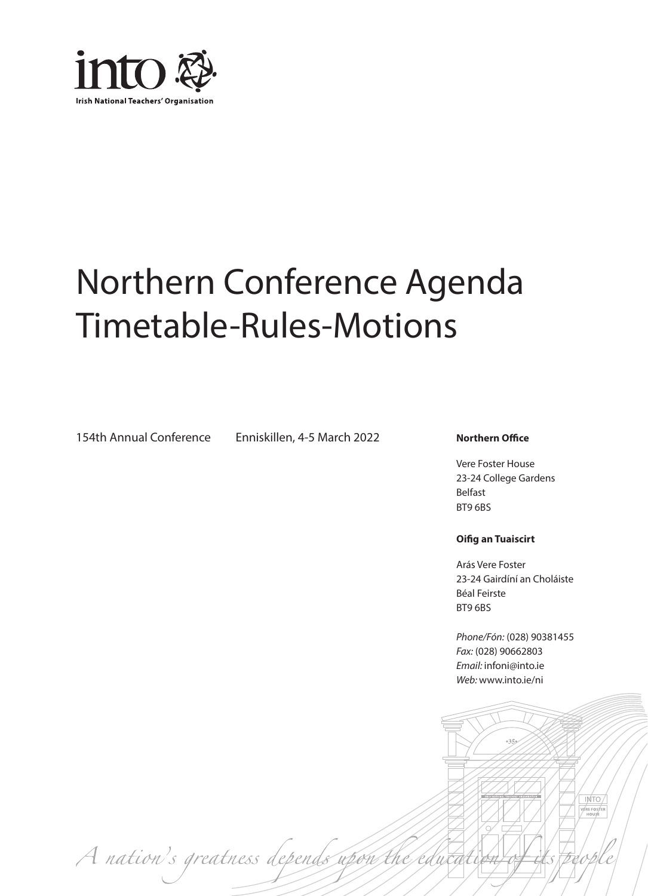

# Northern Conference Agenda Timetable-Rules-Motions

154th Annual Conference Enniskillen, 4-5 March 2022 **Northern Office**

Anation's greatness depends upon the edy

Vere Foster House 23-24 College Gardens Belfast BT9 6BS

### **Oifig an Tuaiscirt**

Arás Vere Foster 23-24 Gairdíní an Choláiste Béal Feirste BT9 6BS

*Phone/Fón:* (028) 90381455 *Fax:* (028) 90662803 *Email:* infoni@into.ie *Web:* www.into.ie/ni

 $-35$ 

**INTO**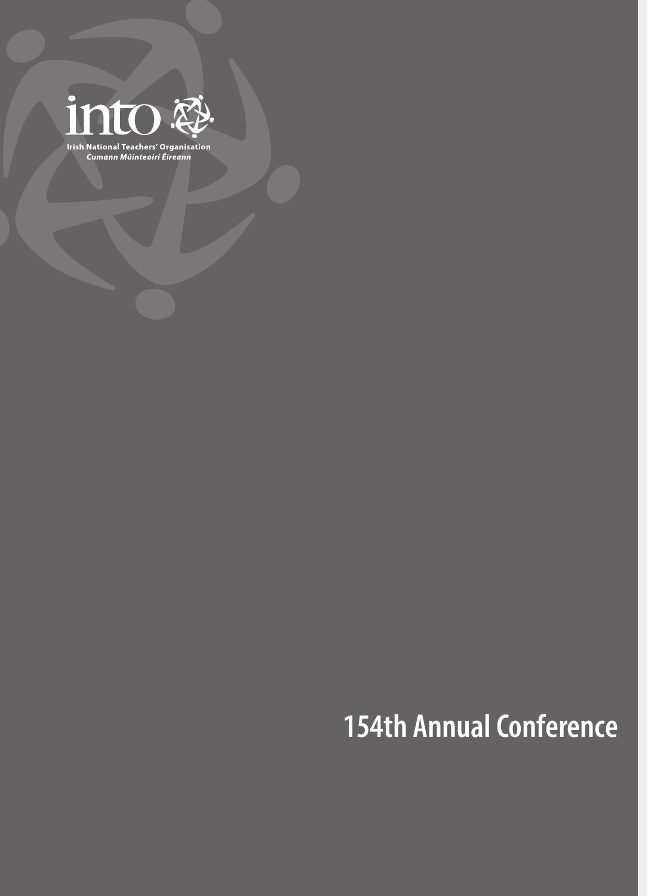

Irish National Teachers' Organisation<br>Cumann Múinteoirí Éireann

## **154th Annual Conference**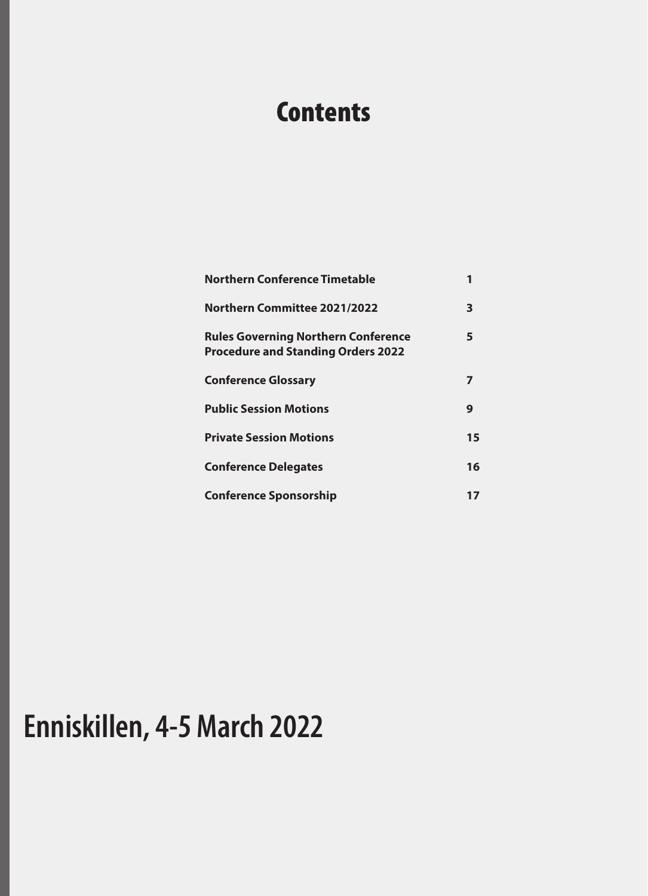## **Contents**

| <b>Northern Conference Timetable</b>                                                    |    |
|-----------------------------------------------------------------------------------------|----|
| <b>Northern Committee 2021/2022</b>                                                     | 3  |
| <b>Rules Governing Northern Conference</b><br><b>Procedure and Standing Orders 2022</b> | 5  |
| <b>Conference Glossary</b>                                                              | 7  |
| <b>Public Session Motions</b>                                                           | 9  |
| <b>Private Session Motions</b>                                                          | 15 |
| <b>Conference Delegates</b>                                                             | 16 |
| <b>Conference Sponsorship</b>                                                           | 17 |

## **Enniskillen, 4-5 March 2022**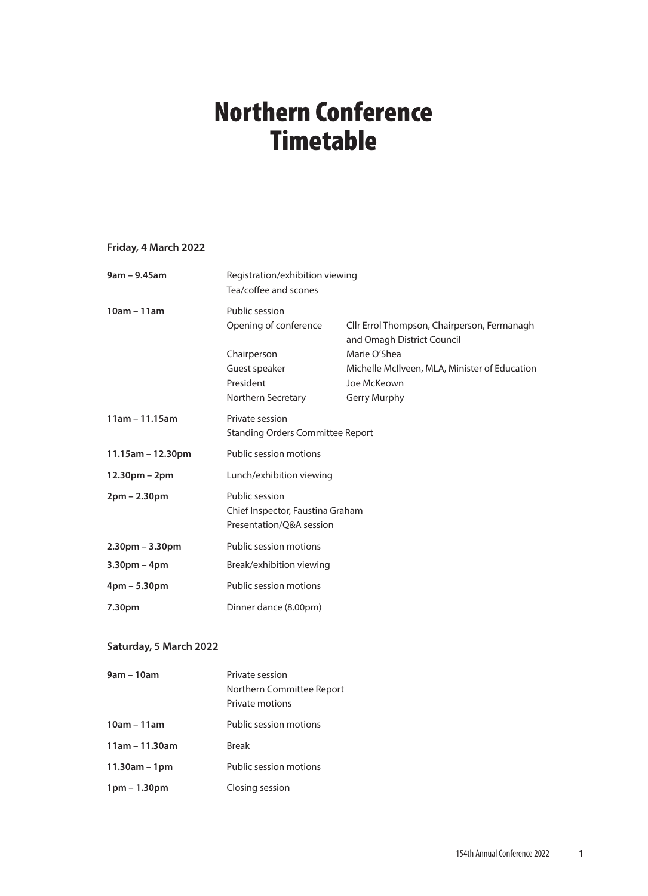## Northern Conference Timetable

### **Friday, 4 March 2022**

| 9am - 9.45am      | Registration/exhibition viewing<br>Tea/coffee and scones                                                   |                                                                                                                                                                                  |  |
|-------------------|------------------------------------------------------------------------------------------------------------|----------------------------------------------------------------------------------------------------------------------------------------------------------------------------------|--|
| $10am - 11am$     | Public session<br>Opening of conference<br>Chairperson<br>Guest speaker<br>President<br>Northern Secretary | Cllr Errol Thompson, Chairperson, Fermanagh<br>and Omagh District Council<br>Marie O'Shea<br>Michelle McIlveen, MLA, Minister of Education<br>Joe McKeown<br><b>Gerry Murphy</b> |  |
| $11am - 11.15am$  | Private session<br><b>Standing Orders Committee Report</b>                                                 |                                                                                                                                                                                  |  |
| 11.15am - 12.30pm | Public session motions                                                                                     |                                                                                                                                                                                  |  |
| $12.30pm - 2pm$   | Lunch/exhibition viewing                                                                                   |                                                                                                                                                                                  |  |
| 2pm - 2.30pm      | Public session<br>Chief Inspector, Faustina Graham<br>Presentation/O&A session                             |                                                                                                                                                                                  |  |
| $2.30pm - 3.30pm$ | Public session motions                                                                                     |                                                                                                                                                                                  |  |
| $3.30pm - 4pm$    | Break/exhibition viewing                                                                                   |                                                                                                                                                                                  |  |
| 4pm - 5.30pm      | Public session motions                                                                                     |                                                                                                                                                                                  |  |
| 7.30pm            | Dinner dance (8.00pm)                                                                                      |                                                                                                                                                                                  |  |

## **Saturday, 5 March 2022**

| 9am – 10am     | Private session           |  |
|----------------|---------------------------|--|
|                | Northern Committee Report |  |
|                | Private motions           |  |
| 10am - 11am    | Public session motions    |  |
| 11am - 11.30am | Break                     |  |
| 11.30am – 1pm  | Public session motions    |  |
| 1pm – 1.30pm   | Closing session           |  |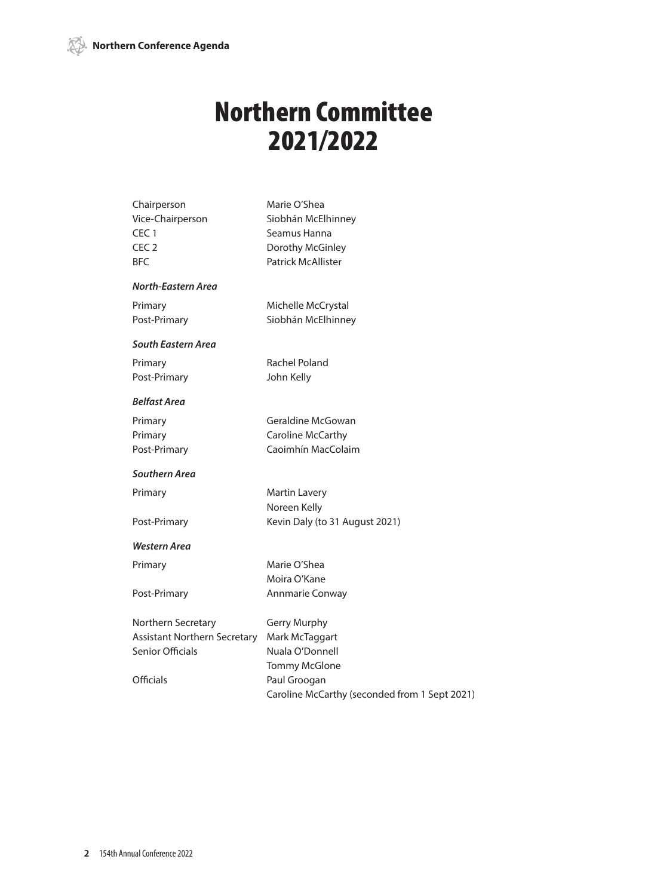## Northern Committee 2021/2022

| Chairperson                         | Marie O'Shea<br>Siobhán McElhinney                                                                                           |
|-------------------------------------|------------------------------------------------------------------------------------------------------------------------------|
|                                     | Seamus Hanna                                                                                                                 |
| CEC <sub>2</sub>                    | Dorothy McGinley                                                                                                             |
| <b>BFC</b>                          | <b>Patrick McAllister</b>                                                                                                    |
| North-Eastern Area                  |                                                                                                                              |
|                                     | Michelle McCrystal                                                                                                           |
|                                     | Siobhán McElhinney                                                                                                           |
|                                     |                                                                                                                              |
| South Eastern Area                  |                                                                                                                              |
| Primary                             | Rachel Poland                                                                                                                |
| Post-Primary                        | John Kelly                                                                                                                   |
|                                     |                                                                                                                              |
|                                     |                                                                                                                              |
| Primary                             | Geraldine McGowan                                                                                                            |
|                                     | Caroline McCarthy                                                                                                            |
|                                     | Caoimhín MacColaim                                                                                                           |
| Southern Area                       |                                                                                                                              |
| Primary                             | <b>Martin Lavery</b>                                                                                                         |
|                                     | Noreen Kelly                                                                                                                 |
| Post-Primary                        | Kevin Daly (to 31 August 2021)                                                                                               |
| <b>Western Area</b>                 |                                                                                                                              |
|                                     | Marie O'Shea                                                                                                                 |
|                                     | Moira O'Kane                                                                                                                 |
| Post-Primary                        | Annmarie Conway                                                                                                              |
|                                     |                                                                                                                              |
| Northern Secretary                  | Gerry Murphy                                                                                                                 |
| <b>Assistant Northern Secretary</b> | Mark McTaggart                                                                                                               |
| Senior Officials                    | Nuala O'Donnell                                                                                                              |
|                                     | <b>Tommy McGlone</b>                                                                                                         |
| <b>Officials</b>                    | Paul Groogan                                                                                                                 |
|                                     | Caroline McCarthy (seconded from 1 Sept 2021)                                                                                |
|                                     | Vice-Chairperson<br>CEC <sub>1</sub><br>Primary<br>Post-Primary<br><b>Belfast Area</b><br>Primary<br>Post-Primary<br>Primary |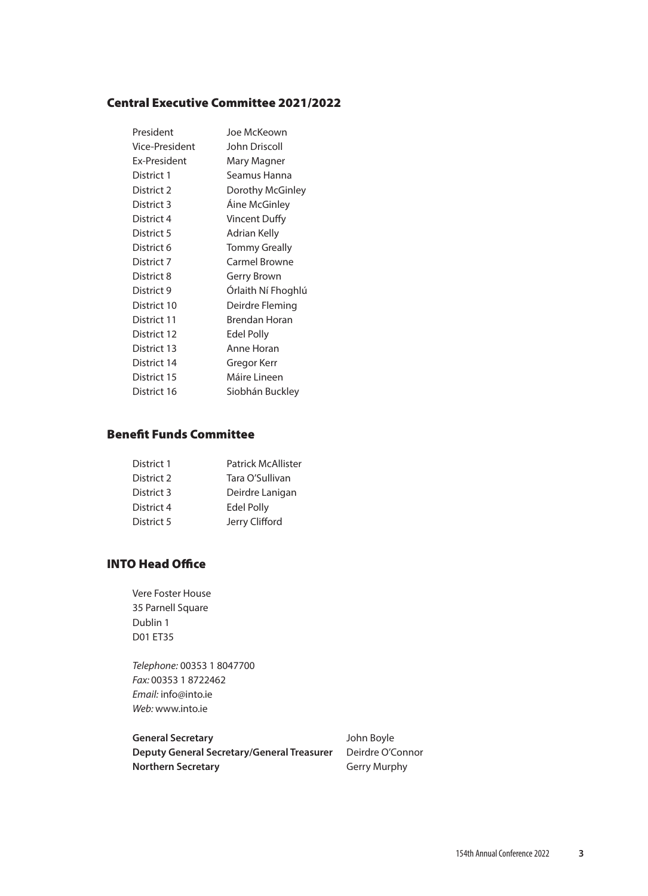## Central Executive Committee 2021/2022

| President      | Joe McKeown          |
|----------------|----------------------|
| Vice-President | John Driscoll        |
| Ex-President   | Mary Magner          |
| District 1     | Seamus Hanna         |
| District 2     | Dorothy McGinley     |
| District 3     | Aine McGinley        |
| District 4     | Vincent Duffy        |
| District 5     | <b>Adrian Kelly</b>  |
| District 6     | <b>Tommy Greally</b> |
| District 7     | Carmel Browne        |
| District 8     | Gerry Brown          |
| District 9     | Orlaith Ní Fhoghlú   |
| District 10    | Deirdre Fleming      |
| District 11    | Brendan Horan        |
| District 12    | Edel Polly           |
| District 13    | Anne Horan           |
| District 14    | Gregor Kerr          |
| District 15    | Máire Lineen         |
| District 16    | Siobhán Buckley      |

## Benefit Funds Committee

| District 1 | <b>Patrick McAllister</b> |
|------------|---------------------------|
| District 2 | Tara O'Sullivan           |
| District 3 | Deirdre Lanigan           |
| District 4 | Edel Polly                |
| District 5 | Jerry Clifford            |

## INTO Head Office

Vere Foster House 35 Parnell Square Dublin 1 D01 ET35

*Telephone:* 00353 1 8047700 *Fax:* 00353 1 8722462 *Email:* info@into.ie *Web:* www.into.ie

**General Secretary** John Boyle **Deputy General Secretary/General Treasurer** Deirdre O'Connor **Northern Secretary Gerry Murphy**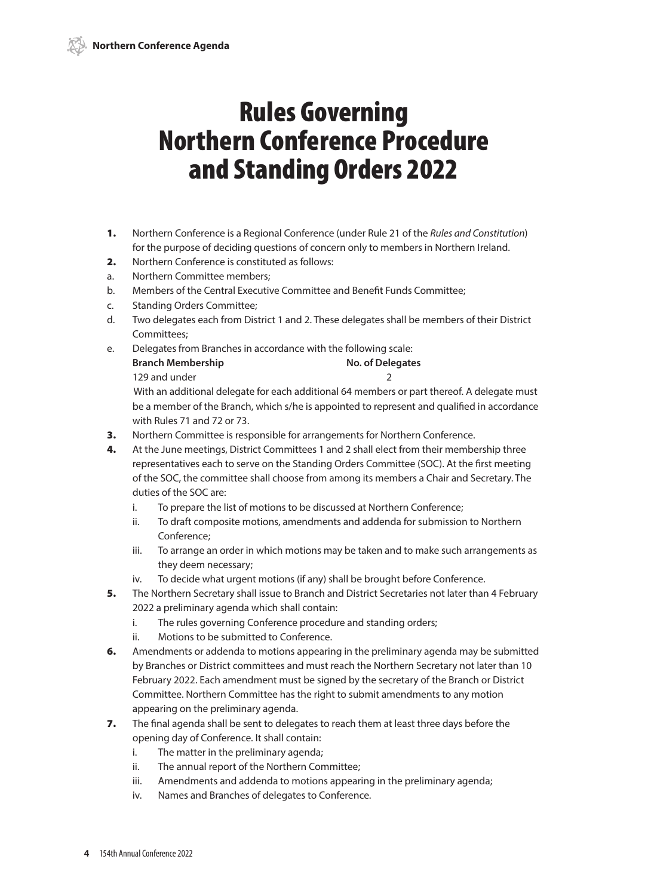## Rules Governing Northern Conference Procedure and Standing Orders 2022

- 1. Northern Conference is a Regional Conference (under Rule 21 of the *Rules and Constitution*) for the purpose of deciding questions of concern only to members in Northern Ireland.
- 2. Northern Conference is constituted as follows:
- a. Northern Committee members;
- b. Members of the Central Executive Committee and Benefit Funds Committee;
- c. Standing Orders Committee;
- d. Two delegates each from District 1 and 2. These delegates shall be members of their District Committees;
- e. Delegates from Branches in accordance with the following scale: **Branch Membership No. of Delegates**

129 and under 2

With an additional delegate for each additional 64 members or part thereof. A delegate must be a member of the Branch, which s/he is appointed to represent and qualified in accordance with Rules 71 and 72 or 73.

- **3.** Northern Committee is responsible for arrangements for Northern Conference.
- 4. At the June meetings, District Committees 1 and 2 shall elect from their membership three representatives each to serve on the Standing Orders Committee (SOC). At the first meeting of the SOC, the committee shall choose from among its members a Chair and Secretary. The duties of the SOC are:
	- i. To prepare the list of motions to be discussed at Northern Conference;
	- ii. To draft composite motions, amendments and addenda for submission to Northern Conference;
	- iii. To arrange an order in which motions may be taken and to make such arrangements as they deem necessary;
	- iv. To decide what urgent motions (if any) shall be brought before Conference.
- **5.** The Northern Secretary shall issue to Branch and District Secretaries not later than 4 February 2022 a preliminary agenda which shall contain:
	- i. The rules governing Conference procedure and standing orders;
	- ii. Motions to be submitted to Conference.
- 6. Amendments or addenda to motions appearing in the preliminary agenda may be submitted by Branches or District committees and must reach the Northern Secretary not later than 10 February 2022. Each amendment must be signed by the secretary of the Branch or District Committee. Northern Committee has the right to submit amendments to any motion appearing on the preliminary agenda.
- 7. The final agenda shall be sent to delegates to reach them at least three days before the opening day of Conference. It shall contain:
	- i. The matter in the preliminary agenda;
	- ii. The annual report of the Northern Committee;
	- iii. Amendments and addenda to motions appearing in the preliminary agenda;
	- iv. Names and Branches of delegates to Conference.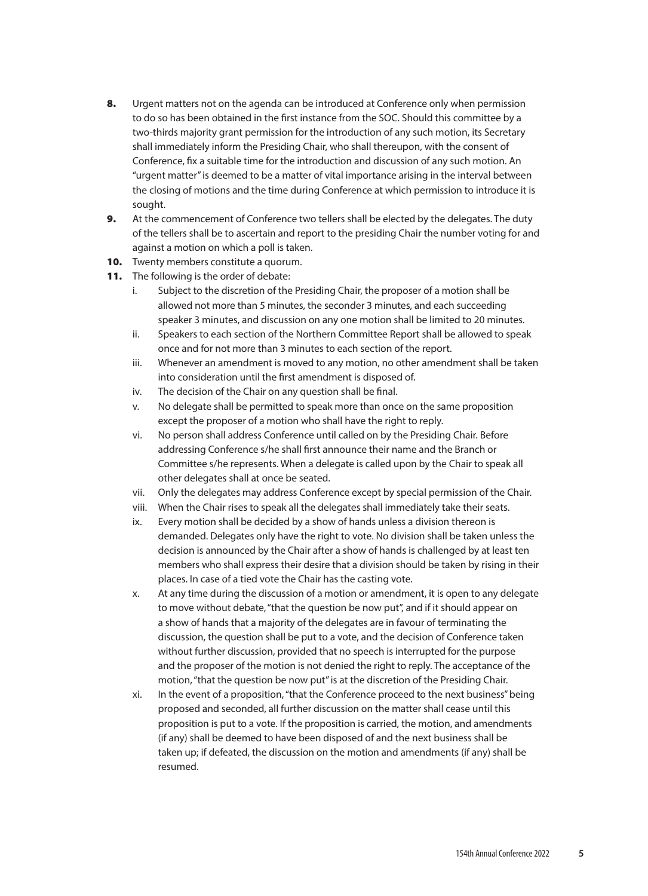- 8. Urgent matters not on the agenda can be introduced at Conference only when permission to do so has been obtained in the first instance from the SOC. Should this committee by a two-thirds majority grant permission for the introduction of any such motion, its Secretary shall immediately inform the Presiding Chair, who shall thereupon, with the consent of Conference, fix a suitable time for the introduction and discussion of any such motion. An "urgent matter" is deemed to be a matter of vital importance arising in the interval between the closing of motions and the time during Conference at which permission to introduce it is sought.
- 9. At the commencement of Conference two tellers shall be elected by the delegates. The duty of the tellers shall be to ascertain and report to the presiding Chair the number voting for and against a motion on which a poll is taken.
- **10.** Twenty members constitute a quorum.
- 11. The following is the order of debate:
	- i. Subject to the discretion of the Presiding Chair, the proposer of a motion shall be allowed not more than 5 minutes, the seconder 3 minutes, and each succeeding speaker 3 minutes, and discussion on any one motion shall be limited to 20 minutes.
	- ii. Speakers to each section of the Northern Committee Report shall be allowed to speak once and for not more than 3 minutes to each section of the report.
	- iii. Whenever an amendment is moved to any motion, no other amendment shall be taken into consideration until the first amendment is disposed of.
	- iv. The decision of the Chair on any question shall be final.
	- v. No delegate shall be permitted to speak more than once on the same proposition except the proposer of a motion who shall have the right to reply.
	- vi. No person shall address Conference until called on by the Presiding Chair. Before addressing Conference s/he shall first announce their name and the Branch or Committee s/he represents. When a delegate is called upon by the Chair to speak all other delegates shall at once be seated.
	- vii. Only the delegates may address Conference except by special permission of the Chair.
	- viii. When the Chair rises to speak all the delegates shall immediately take their seats.
	- ix. Every motion shall be decided by a show of hands unless a division thereon is demanded. Delegates only have the right to vote. No division shall be taken unless the decision is announced by the Chair after a show of hands is challenged by at least ten members who shall express their desire that a division should be taken by rising in their places. In case of a tied vote the Chair has the casting vote.
	- x. At any time during the discussion of a motion or amendment, it is open to any delegate to move without debate, "that the question be now put", and if it should appear on a show of hands that a majority of the delegates are in favour of terminating the discussion, the question shall be put to a vote, and the decision of Conference taken without further discussion, provided that no speech is interrupted for the purpose and the proposer of the motion is not denied the right to reply. The acceptance of the motion, "that the question be now put" is at the discretion of the Presiding Chair.
	- xi. In the event of a proposition, "that the Conference proceed to the next business" being proposed and seconded, all further discussion on the matter shall cease until this proposition is put to a vote. If the proposition is carried, the motion, and amendments (if any) shall be deemed to have been disposed of and the next business shall be taken up; if defeated, the discussion on the motion and amendments (if any) shall be resumed.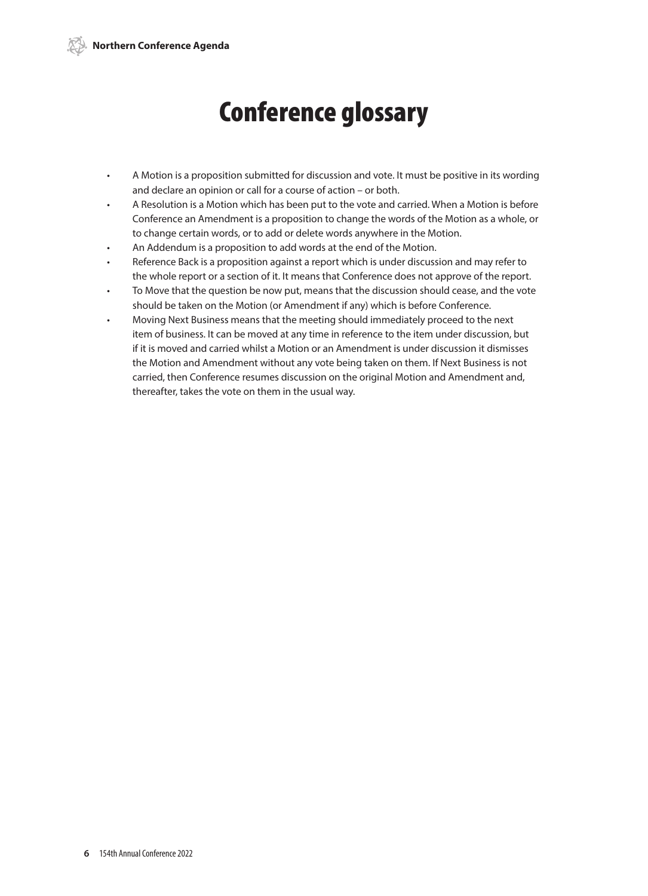## Conference glossary

- A Motion is a proposition submitted for discussion and vote. It must be positive in its wording and declare an opinion or call for a course of action – or both.
- A Resolution is a Motion which has been put to the vote and carried. When a Motion is before Conference an Amendment is a proposition to change the words of the Motion as a whole, or to change certain words, or to add or delete words anywhere in the Motion.
- An Addendum is a proposition to add words at the end of the Motion.
- Reference Back is a proposition against a report which is under discussion and may refer to the whole report or a section of it. It means that Conference does not approve of the report.
- To Move that the question be now put, means that the discussion should cease, and the vote should be taken on the Motion (or Amendment if any) which is before Conference.
- Moving Next Business means that the meeting should immediately proceed to the next item of business. It can be moved at any time in reference to the item under discussion, but if it is moved and carried whilst a Motion or an Amendment is under discussion it dismisses the Motion and Amendment without any vote being taken on them. If Next Business is not carried, then Conference resumes discussion on the original Motion and Amendment and, thereafter, takes the vote on them in the usual way.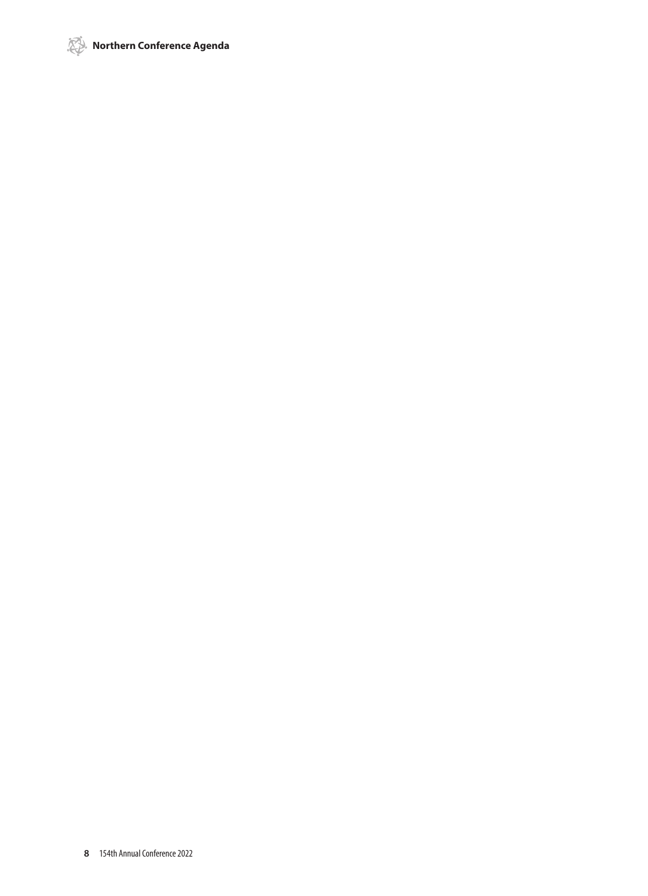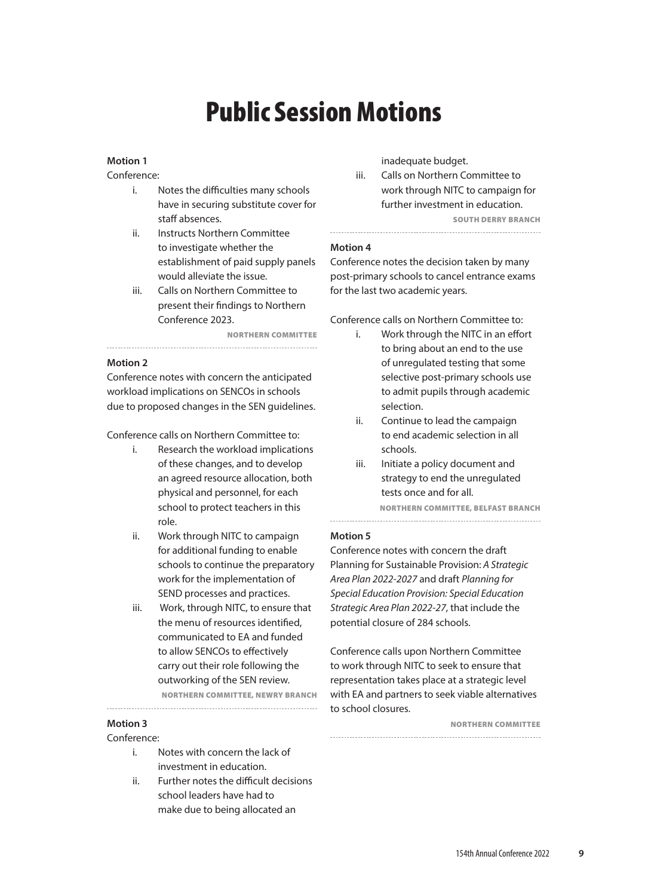## Public Session Motions

### **Motion 1**

#### Conference:

- i. Notes the difficulties many schools have in securing substitute cover for staff absences.
- ii. Instructs Northern Committee to investigate whether the establishment of paid supply panels would alleviate the issue.
- iii. Calls on Northern Committee to present their findings to Northern Conference 2023.

NORTHERN COMMITTEE

#### **Motion 2**

Conference notes with concern the anticipated workload implications on SENCOs in schools due to proposed changes in the SEN guidelines.

Conference calls on Northern Committee to:

- i. Research the workload implications of these changes, and to develop an agreed resource allocation, both physical and personnel, for each school to protect teachers in this role.
- ii. Work through NITC to campaign for additional funding to enable schools to continue the preparatory work for the implementation of SEND processes and practices.
- iii. Work, through NITC, to ensure that the menu of resources identified, communicated to EA and funded to allow SENCOs to effectively carry out their role following the outworking of the SEN review. NORTHERN COMMITTEE, NEWRY BRANCH

#### **Motion 3**

#### Conference:

- i. Notes with concern the lack of investment in education.
- ii. Further notes the difficult decisions school leaders have had to make due to being allocated an

inadequate budget.

iii. Calls on Northern Committee to work through NITC to campaign for further investment in education.

SOUTH DERRY BRANCH 

#### **Motion 4**

Conference notes the decision taken by many post-primary schools to cancel entrance exams for the last two academic years.

Conference calls on Northern Committee to:

- i. Work through the NITC in an effort to bring about an end to the use of unregulated testing that some selective post-primary schools use to admit pupils through academic selection.
- ii. Continue to lead the campaign to end academic selection in all schools.
- iii. Initiate a policy document and strategy to end the unregulated tests once and for all.

NORTHERN COMMITTEE, BELFAST BRANCH 

#### **Motion 5**

Conference notes with concern the draft Planning for Sustainable Provision: *A Strategic Area Plan 2022-2027* and draft *Planning for Special Education Provision: Special Education Strategic Area Plan 2022-27*, that include the potential closure of 284 schools.

Conference calls upon Northern Committee to work through NITC to seek to ensure that representation takes place at a strategic level with EA and partners to seek viable alternatives to school closures.

NORTHERN COMMITTEE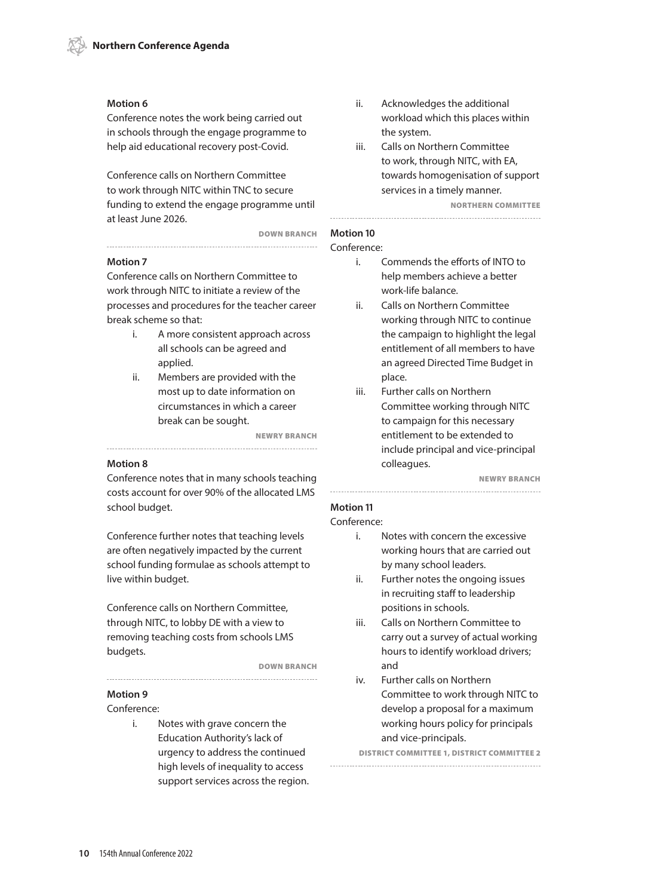#### **Motion 6**

Conference notes the work being carried out in schools through the engage programme to help aid educational recovery post-Covid.

Conference calls on Northern Committee to work through NITC within TNC to secure funding to extend the engage programme until at least June 2026.

DOWN BRANCH

#### **Motion 7**

Conference calls on Northern Committee to work through NITC to initiate a review of the processes and procedures for the teacher career break scheme so that:

- i. A more consistent approach across all schools can be agreed and applied.
- ii. Members are provided with the most up to date information on circumstances in which a career break can be sought.

NEWRY BRANCH

#### **Motion 8**

Conference notes that in many schools teaching costs account for over 90% of the allocated LMS school budget.

Conference further notes that teaching levels are often negatively impacted by the current school funding formulae as schools attempt to live within budget.

Conference calls on Northern Committee, through NITC, to lobby DE with a view to removing teaching costs from schools LMS budgets.

DOWN BRANCH

#### **Motion 9**

Conference:

i. Notes with grave concern the Education Authority's lack of urgency to address the continued high levels of inequality to access support services across the region.

- ii. Acknowledges the additional workload which this places within the system.
- iii. Calls on Northern Committee to work, through NITC, with EA, towards homogenisation of support services in a timely manner.

NORTHERN COMMITTEE

#### **Motion 10**

#### Conference:

i. Commends the efforts of INTO to help members achieve a better work-life balance.

- ii. Calls on Northern Committee working through NITC to continue the campaign to highlight the legal entitlement of all members to have an agreed Directed Time Budget in place.
- iii. Further calls on Northern Committee working through NITC to campaign for this necessary entitlement to be extended to include principal and vice-principal colleagues.

NEWRY BRANCH

### **Motion 11**

#### Conference:

i. Notes with concern the excessive working hours that are carried out by many school leaders.

- ii. Further notes the ongoing issues in recruiting staff to leadership positions in schools.
- iii. Calls on Northern Committee to carry out a survey of actual working hours to identify workload drivers; and
- iv. Further calls on Northern Committee to work through NITC to develop a proposal for a maximum working hours policy for principals and vice-principals.

DISTRICT COMMITTEE 1, DISTRICT COMMITTEE 2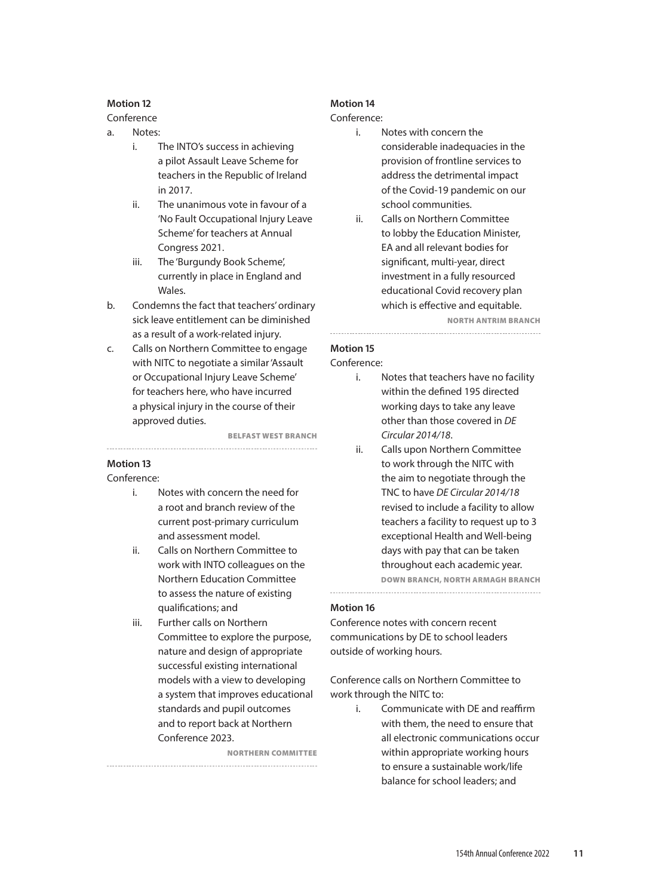#### **Motion 12**

### Conference

- a. Notes:
	- i. The INTO's success in achieving a pilot Assault Leave Scheme for teachers in the Republic of Ireland in 2017.
	- ii. The unanimous vote in favour of a 'No Fault Occupational Injury Leave Scheme' for teachers at Annual Congress 2021.
	- iii. The 'Burgundy Book Scheme', currently in place in England and Wales.
- b. Condemns the fact that teachers' ordinary sick leave entitlement can be diminished as a result of a work-related injury.
- c. Calls on Northern Committee to engage with NITC to negotiate a similar 'Assault or Occupational Injury Leave Scheme' for teachers here, who have incurred a physical injury in the course of their approved duties.

BELFAST WEST BRANCH

### **Motion 13**

Conference:

- i. Notes with concern the need for a root and branch review of the current post-primary curriculum and assessment model.
- ii. Calls on Northern Committee to work with INTO colleagues on the Northern Education Committee to assess the nature of existing qualifications; and
- iii. Further calls on Northern Committee to explore the purpose, nature and design of appropriate successful existing international models with a view to developing a system that improves educational standards and pupil outcomes and to report back at Northern Conference 2023.

NORTHERN COMMITTEE

### **Motion 14**

#### Conference:

- i. Notes with concern the considerable inadequacies in the provision of frontline services to address the detrimental impact of the Covid-19 pandemic on our school communities.
- ii. Calls on Northern Committee to lobby the Education Minister, EA and all relevant bodies for significant, multi-year, direct investment in a fully resourced educational Covid recovery plan which is effective and equitable.

NORTH ANTRIM BRANCH

### **Motion 15**

Conference:

- i. Notes that teachers have no facility within the defined 195 directed working days to take any leave other than those covered in *DE Circular 2014/18*.
- ii. Calls upon Northern Committee to work through the NITC with the aim to negotiate through the TNC to have *DE Circular 2014/18* revised to include a facility to allow teachers a facility to request up to 3 exceptional Health and Well-being days with pay that can be taken throughout each academic year. DOWN BRANCH, NORTH ARMAGH BRANCH

#### **Motion 16**

Conference notes with concern recent communications by DE to school leaders outside of working hours.

Conference calls on Northern Committee to work through the NITC to:

> i. Communicate with DE and reaffirm with them, the need to ensure that all electronic communications occur within appropriate working hours to ensure a sustainable work/life balance for school leaders; and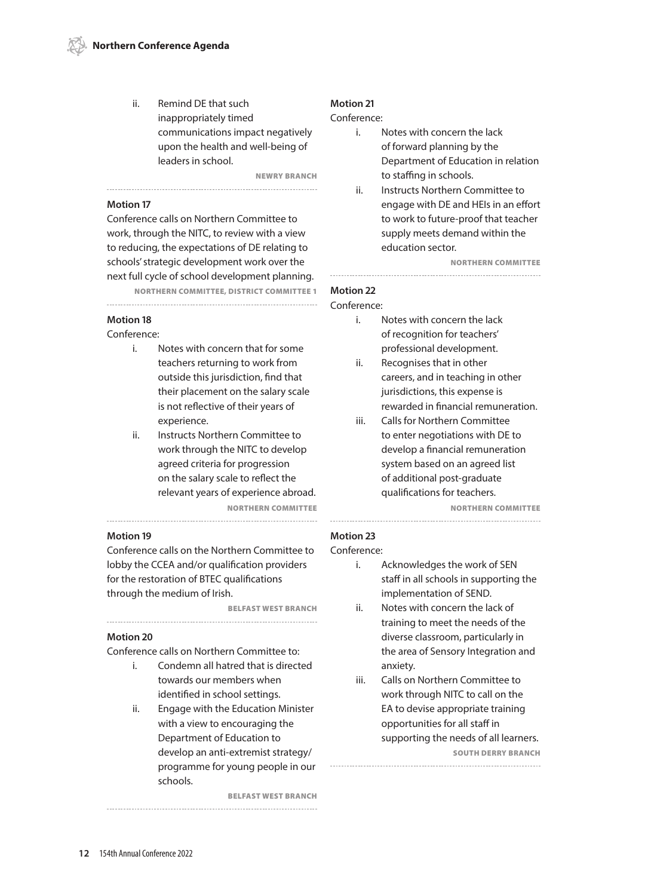ii. Remind DE that such inappropriately timed communications impact negatively upon the health and well-being of leaders in school.

NEWRY BRANCH

#### **Motion 17**

Conference calls on Northern Committee to work, through the NITC, to review with a view to reducing, the expectations of DE relating to schools' strategic development work over the next full cycle of school development planning.

NORTHERN COMMITTEE, DISTRICT COMMITTEE 1

## **Motion 18**

Conference:

- i. Notes with concern that for some teachers returning to work from outside this jurisdiction, find that their placement on the salary scale is not reflective of their years of experience.
- ii. Instructs Northern Committee to work through the NITC to develop agreed criteria for progression on the salary scale to reflect the relevant years of experience abroad.

NORTHERN COMMITTEE

#### **Motion 19**

Conference calls on the Northern Committee to lobby the CCEA and/or qualification providers for the restoration of BTEC qualifications through the medium of Irish.

BELFAST WEST BRANCH

#### **Motion 20**

Conference calls on Northern Committee to:

- i. Condemn all hatred that is directed towards our members when identified in school settings.
- ii. Engage with the Education Minister with a view to encouraging the Department of Education to develop an anti-extremist strategy/ programme for young people in our schools.

BELFAST WEST BRANCH

### **Motion 21**

#### Conference:

- i. Notes with concern the lack of forward planning by the Department of Education in relation to staffing in schools.
- ii. Instructs Northern Committee to engage with DE and HEIs in an effort to work to future-proof that teacher supply meets demand within the education sector.

NORTHERN COMMITTEE

#### **Motion 22**

#### Conference:

i. Notes with concern the lack of recognition for teachers' professional development.

- ii. Recognises that in other careers, and in teaching in other jurisdictions, this expense is rewarded in financial remuneration.
- iii. Calls for Northern Committee to enter negotiations with DE to develop a financial remuneration system based on an agreed list of additional post-graduate qualifications for teachers.

NORTHERN COMMITTEE

#### **Motion 23**

Conference:

- i. Acknowledges the work of SEN staff in all schools in supporting the implementation of SEND.
- ii. Notes with concern the lack of training to meet the needs of the diverse classroom, particularly in the area of Sensory Integration and anxiety.
- iii. Calls on Northern Committee to work through NITC to call on the EA to devise appropriate training opportunities for all staff in supporting the needs of all learners.

SOUTH DERRY BRANCH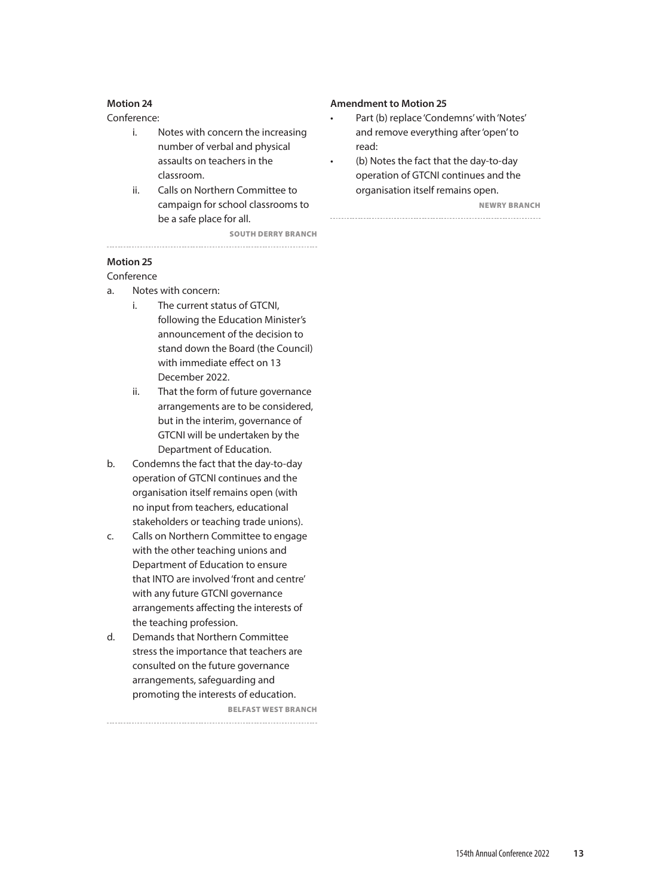#### **Motion 24**

Conference:

- i. Notes with concern the increasing number of verbal and physical assaults on teachers in the classroom.
- ii. Calls on Northern Committee to campaign for school classrooms to be a safe place for all.

SOUTH DERRY BRANCH

## **Motion 25**

## Conference

- a. Notes with concern:
	- i. The current status of GTCNI, following the Education Minister's announcement of the decision to stand down the Board (the Council) with immediate effect on 13 December 2022.
	- ii. That the form of future governance arrangements are to be considered, but in the interim, governance of GTCNI will be undertaken by the Department of Education.
- b. Condemns the fact that the day-to-day operation of GTCNI continues and the organisation itself remains open (with no input from teachers, educational stakeholders or teaching trade unions).
- c. Calls on Northern Committee to engage with the other teaching unions and Department of Education to ensure that INTO are involved 'front and centre' with any future GTCNI governance arrangements affecting the interests of the teaching profession.
- d. Demands that Northern Committee stress the importance that teachers are consulted on the future governance arrangements, safeguarding and promoting the interests of education.

BELFAST WEST BRANCH

#### **Amendment to Motion 25**

- Part (b) replace 'Condemns' with 'Notes' and remove everything after 'open' to read:
- (b) Notes the fact that the day-to-day operation of GTCNI continues and the organisation itself remains open.

NEWRY BRANCH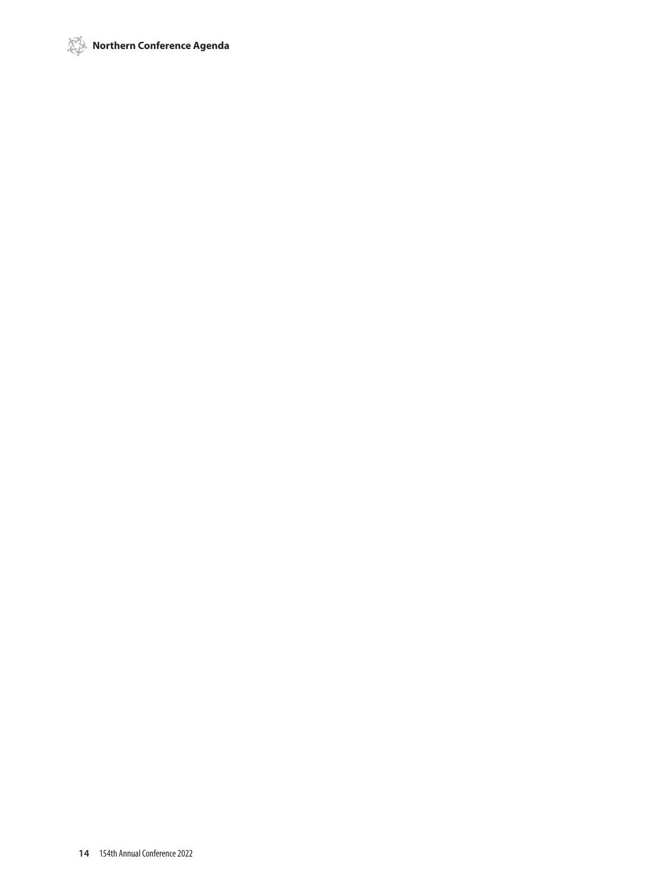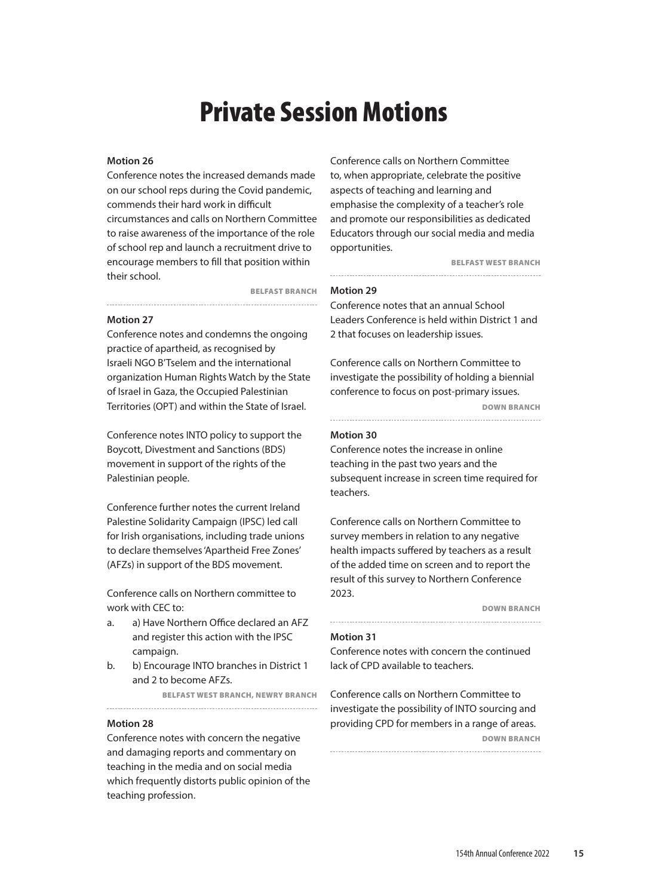## Private Session Motions

#### **Motion 26**

Conference notes the increased demands made on our school reps during the Covid pandemic, commends their hard work in difficult

circumstances and calls on Northern Committee to raise awareness of the importance of the role of school rep and launch a recruitment drive to encourage members to fill that position within their school.

Conference calls on Northern Committee to, when appropriate, celebrate the positive aspects of teaching and learning and emphasise the complexity of a teacher's role and promote our responsibilities as dedicated Educators through our social media and media opportunities.

BELFAST WEST BRANCH

#### **Motion 29**

BELFAST BRANCH

**Motion 27**

Conference notes and condemns the ongoing practice of apartheid, as recognised by Israeli NGO B'Tselem and the international organization Human Rights Watch by the State of Israel in Gaza, the Occupied Palestinian Territories (OPT) and within the State of Israel.

Conference notes INTO policy to support the Boycott, Divestment and Sanctions (BDS) movement in support of the rights of the Palestinian people.

Conference further notes the current Ireland Palestine Solidarity Campaign (IPSC) led call for Irish organisations, including trade unions to declare themselves 'Apartheid Free Zones' (AFZs) in support of the BDS movement.

Conference calls on Northern committee to work with CEC to:

- a. a) Have Northern Office declared an AFZ and register this action with the IPSC campaign.
- b. b) Encourage INTO branches in District 1 and 2 to become AFZs.

BELFAST WEST BRANCH, NEWRY BRANCH

#### **Motion 28**

Conference notes with concern the negative and damaging reports and commentary on teaching in the media and on social media which frequently distorts public opinion of the teaching profession.

Conference notes that an annual School Leaders Conference is held within District 1 and 2 that focuses on leadership issues.

Conference calls on Northern Committee to investigate the possibility of holding a biennial conference to focus on post-primary issues.

DOWN BRANCH 

#### **Motion 30**

Conference notes the increase in online teaching in the past two years and the subsequent increase in screen time required for teachers.

Conference calls on Northern Committee to survey members in relation to any negative health impacts suffered by teachers as a result of the added time on screen and to report the result of this survey to Northern Conference 2023.

DOWN BRANCH

#### **Motion 31**

Conference notes with concern the continued lack of CPD available to teachers.

Conference calls on Northern Committee to investigate the possibility of INTO sourcing and providing CPD for members in a range of areas. DOWN BRANCH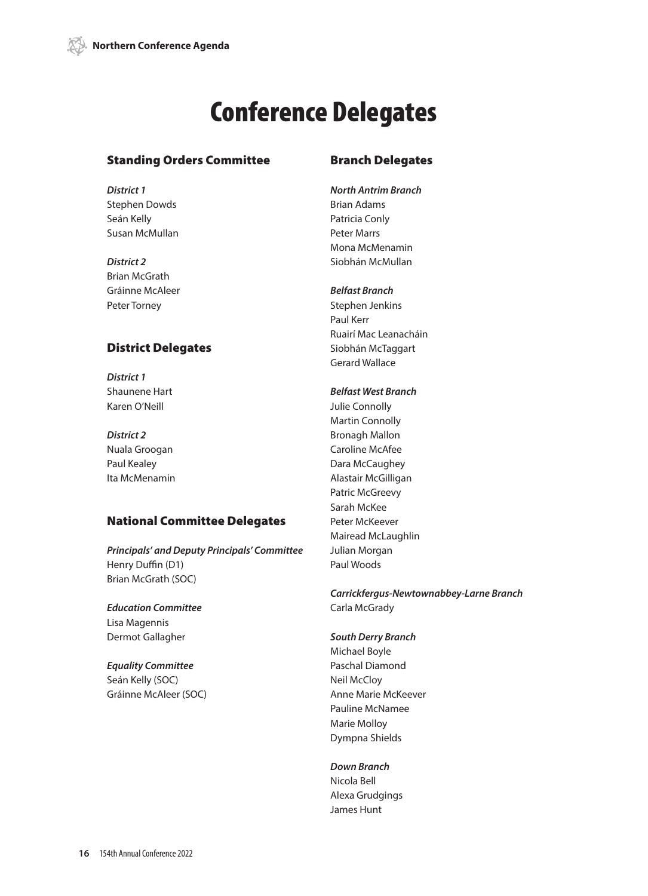## Conference Delegates

## Standing Orders Committee

*District 1* Stephen Dowds Seán Kelly Susan McMullan

*District 2* Brian McGrath Gráinne McAleer Peter Torney

## District Delegates

*District 1* Shaunene Hart Karen O'Neill

*District 2* Nuala Groogan Paul Kealey Ita McMenamin

## National Committee Delegates

*Principals' and Deputy Principals' Committee* Henry Duffin (D1) Brian McGrath (SOC)

*Education Committee* Lisa Magennis Dermot Gallagher

*Equality Committee* Seán Kelly (SOC) Gráinne McAleer (SOC)

## Branch Delegates

*North Antrim Branch* Brian Adams

Patricia Conly Peter Marrs Mona McMenamin Siobhán McMullan

### *Belfast Branch*

Stephen Jenkins Paul Kerr Ruairí Mac Leanacháin Siobhán McTaggart Gerard Wallace

*Belfast West Branch* Julie Connolly Martin Connolly Bronagh Mallon Caroline McAfee Dara McCaughey Alastair McGilligan Patric McGreevy Sarah McKee Peter McKeever Mairead McLaughlin

Paul Woods *Carrickfergus-Newtownabbey-Larne Branch*

Carla McGrady

### *South Derry Branch*

Julian Morgan

Michael Boyle Paschal Diamond Neil McCloy Anne Marie McKeever Pauline McNamee Marie Molloy Dympna Shields

*Down Branch* Nicola Bell Alexa Grudgings James Hunt